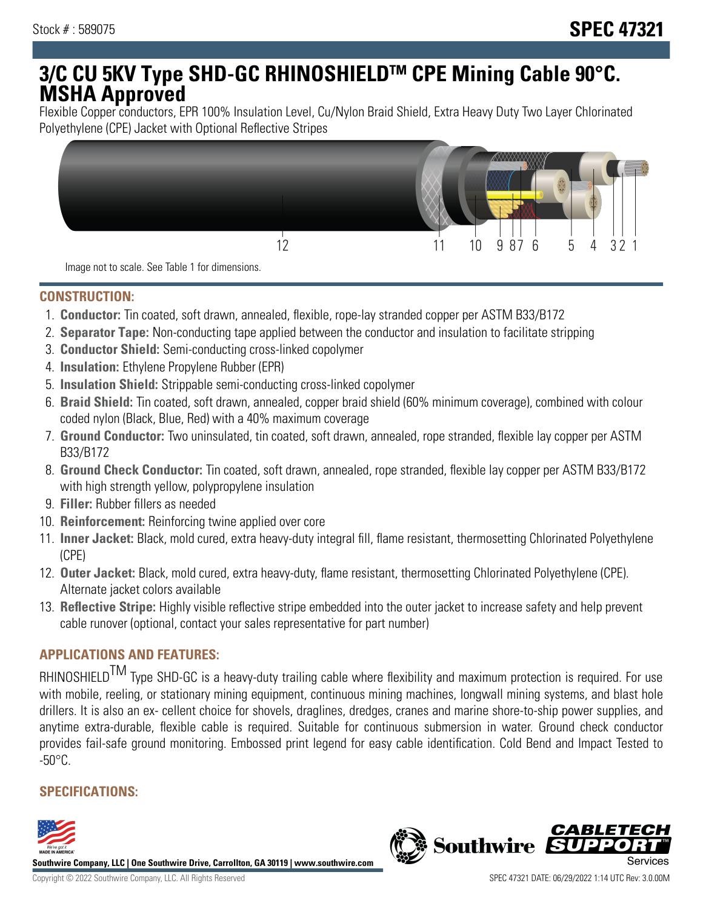# **3/C CU 5KV Type SHD-GC RHINOSHIELDTM CPE Mining Cable 90°C. MSHA Approved**

Flexible Copper conductors, EPR 100% Insulation Level, Cu/Nylon Braid Shield, Extra Heavy Duty Two Layer Chlorinated Polyethylene (CPE) Jacket with Optional Reflective Stripes



Image not to scale. See Table 1 for dimensions.

#### **CONSTRUCTION:**

- 1. **Conductor:** Tin coated, soft drawn, annealed, flexible, rope-lay stranded copper per ASTM B33/B172
- 2. **Separator Tape:** Non-conducting tape applied between the conductor and insulation to facilitate stripping
- 3. **Conductor Shield:** Semi-conducting cross-linked copolymer
- 4. **Insulation:** Ethylene Propylene Rubber (EPR)
- 5. **Insulation Shield:** Strippable semi-conducting cross-linked copolymer
- 6. **Braid Shield:** Tin coated, soft drawn, annealed, copper braid shield (60% minimum coverage), combined with colour coded nylon (Black, Blue, Red) with a 40% maximum coverage
- 7. **Ground Conductor:** Two uninsulated, tin coated, soft drawn, annealed, rope stranded, flexible lay copper per ASTM B33/B172
- 8. **Ground Check Conductor:** Tin coated, soft drawn, annealed, rope stranded, flexible lay copper per ASTM B33/B172 with high strength yellow, polypropylene insulation
- 9. **Filler:** Rubber fillers as needed
- 10. **Reinforcement:** Reinforcing twine applied over core
- 11. **Inner Jacket:** Black, mold cured, extra heavy-duty integral fill, flame resistant, thermosetting Chlorinated Polyethylene (CPE)
- 12. **Outer Jacket:** Black, mold cured, extra heavy-duty, flame resistant, thermosetting Chlorinated Polyethylene (CPE). Alternate jacket colors available
- 13. **Reflective Stripe:** Highly visible reflective stripe embedded into the outer jacket to increase safety and help prevent cable runover (optional, contact your sales representative for part number)

### **APPLICATIONS AND FEATURES:**

RHINOSHIELD<sup>TM</sup> Type SHD-GC is a heavy-duty trailing cable where flexibility and maximum protection is required. For use with mobile, reeling, or stationary mining equipment, continuous mining machines, longwall mining systems, and blast hole drillers. It is also an ex- cellent choice for shovels, draglines, dredges, cranes and marine shore-to-ship power supplies, and anytime extra-durable, flexible cable is required. Suitable for continuous submersion in water. Ground check conductor provides fail-safe ground monitoring. Embossed print legend for easy cable identification. Cold Bend and Impact Tested to  $-50^{\circ}$ C.

#### **SPECIFICATIONS:**



**Southwire Company, LLC | One Southwire Drive, Carrollton, GA 30119 | www.southwire.com**

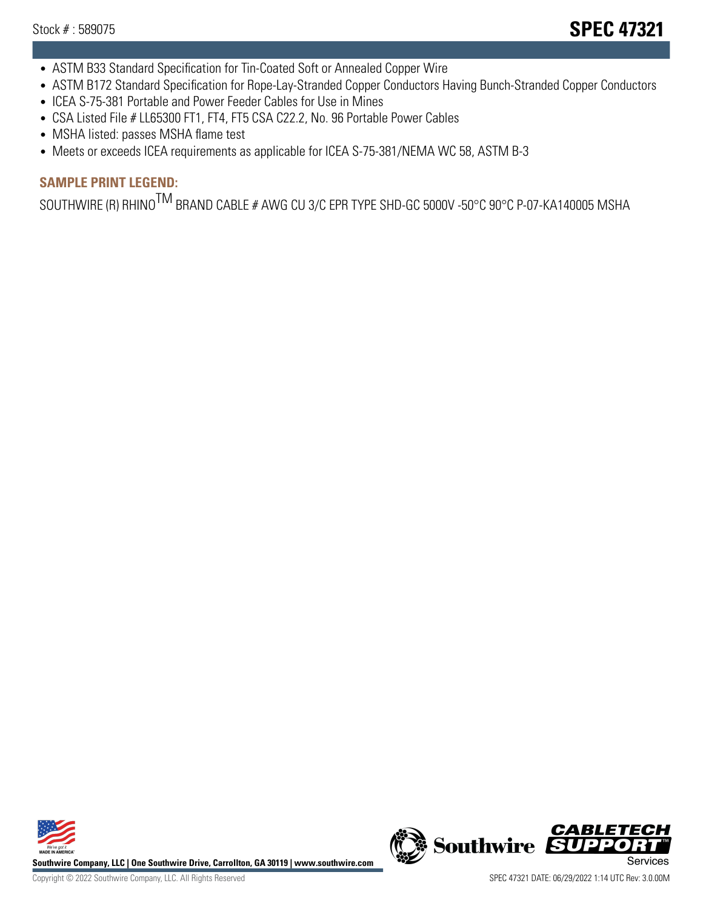- ASTM B33 Standard Specification for Tin-Coated Soft or Annealed Copper Wire
- ASTM B172 Standard Specification for Rope-Lay-Stranded Copper Conductors Having Bunch-Stranded Copper Conductors
- ICEA S-75-381 Portable and Power Feeder Cables for Use in Mines
- CSA Listed File # LL65300 FT1, FT4, FT5 CSA C22.2, No. 96 Portable Power Cables
- MSHA listed: passes MSHA flame test
- Meets or exceeds ICEA requirements as applicable for ICEA S-75-381/NEMA WC 58, ASTM B-3

## **SAMPLE PRINT LEGEND:**

SOUTHWIRE (R) RHINO<sup>TM</sup> BRAND CABLE # AWG CU 3/C EPR TYPE SHD-GC 5000V -50°C 90°C P-07-KA140005 MSHA